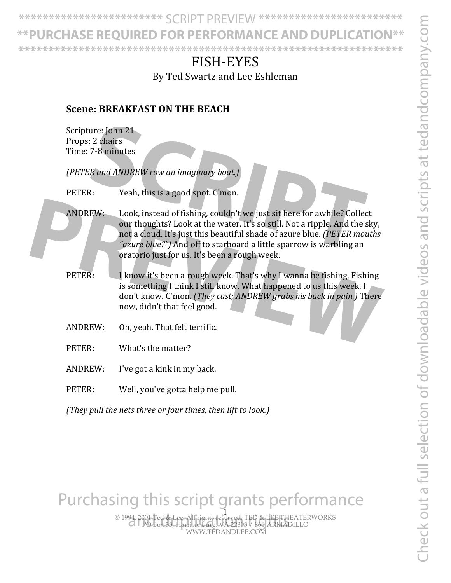Check out a full selection of downloadable videos and scripts at tedandcompany.com Check out a full selection of downloadable videos and scripts at tedandcompany.com

**\*\*\*\*\*\*\*\*\*\*\*\*\*\*\*\*\*\*\*\*\*\*\*\*** SCRIPT PREVIEW **\*\*\*\*\*\*\*\*\*\*\*\*\*\*\*\*\*\*\*\*\*\*\*\***

**\*\*PURCHASE REQUIRED FOR PERFORMANCE AND DUPLICATION\*\* \*\*\*\*\*\*\*\*\*\*\*\*\*\*\*\*\*\*\*\*\*\*\*\*\*\*\*\*\*\*\*\*\*\*\*\*\*\*\*\*\*\*\*\*\*\*\*\*\*\*\*\*\*\*\*\*\*\*\*\*\*\*\*\***

# FISH-EYES

By Ted Swartz and Lee Eshleman

#### **Scene: BREAKFAST ON THE BEACH**

|  |                                                              | Scripture: John 21<br>Props: 2 chairs<br>Time: 7-8 minutes                                                                                                                                                                                                                                                                                                |  |  |
|--|--------------------------------------------------------------|-----------------------------------------------------------------------------------------------------------------------------------------------------------------------------------------------------------------------------------------------------------------------------------------------------------------------------------------------------------|--|--|
|  |                                                              | (PETER and ANDREW row an imaginary boat.)                                                                                                                                                                                                                                                                                                                 |  |  |
|  | PETER:                                                       | Yeah, this is a good spot. C'mon.                                                                                                                                                                                                                                                                                                                         |  |  |
|  | <b>ANDREW:</b>                                               | Look, instead of fishing, couldn't we just sit here for awhile? Collect<br>our thoughts? Look at the water. It's so still. Not a ripple. And the sky,<br>not a cloud. It's just this beautiful shade of azure blue. (PETER mouths<br>"azure blue?") And off to starboard a little sparrow is warbling an<br>oratorio just for us. It's been a rough week. |  |  |
|  | PETER:                                                       | I know it's been a rough week. That's why I wanna be fishing. Fishing<br>is something I think I still know. What happened to us this week, I<br>don't know. C'mon. (They cast; ANDREW grabs his back in pain.) There<br>now, didn't that feel good.                                                                                                       |  |  |
|  | <b>ANDREW:</b>                                               | Oh, yeah. That felt terrific.                                                                                                                                                                                                                                                                                                                             |  |  |
|  | PETER:                                                       | What's the matter?                                                                                                                                                                                                                                                                                                                                        |  |  |
|  | <b>ANDREW:</b>                                               | I've got a kink in my back.                                                                                                                                                                                                                                                                                                                               |  |  |
|  | PETER:                                                       | Well, you've gotta help me pull.                                                                                                                                                                                                                                                                                                                          |  |  |
|  | (They pull the nets three or four times, then lift to look.) |                                                                                                                                                                                                                                                                                                                                                           |  |  |

Purchasing this script grants performance

© 1994, 2001 Ted & Lee. All rights reserved. TED & LEE THEATERWORKS PO Box 33, Harrisonburg, VA 22803 / 866-ARMADILLO WWW.TEDANDLEE.COM -<br>94, 2001 Ted & Lee, All rights reserved, TED & LEE THEA<br>Cl POB0x 33, Harrisonburg, VA 22803 / 866-ARMADII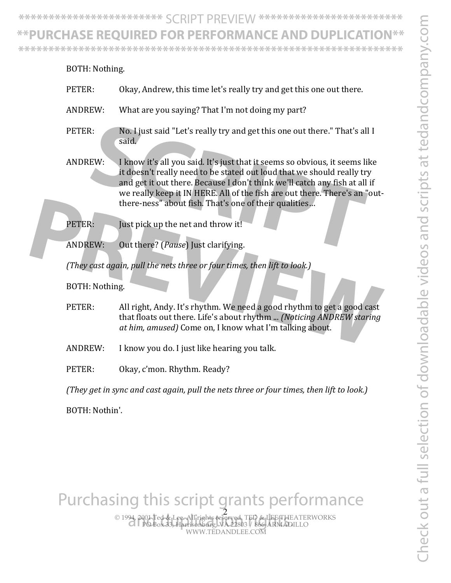**\*\*\*\*\*\*\*\*\*\*\*\*\*\*\*\*\*\*\*\*\*\*\*\*** SCRIPT PREVIEW **\*\*\*\*\*\*\*\*\*\*\*\*\*\*\*\*\*\*\*\*\*\*\*\***

#### **\*\*PURCHASE REQUIRED FOR PERFORMANCE AND DUPLICATION\*\***

**\*\*\*\*\*\*\*\*\*\*\*\*\*\*\*\*\*\*\*\*\*\*\*\*\*\*\*\*\*\*\*\*\*\*\*\*\*\*\*\*\*\*\*\*\*\*\*\*\*\*\*\*\*\*\*\*\*\*\*\*\*\*\*\***

|  | BOTH: Nothing.                                                                           |                                                                                                                                                                                                                                                                                                                                                                            |  |
|--|------------------------------------------------------------------------------------------|----------------------------------------------------------------------------------------------------------------------------------------------------------------------------------------------------------------------------------------------------------------------------------------------------------------------------------------------------------------------------|--|
|  | PETER:                                                                                   | Okay, Andrew, this time let's really try and get this one out there.                                                                                                                                                                                                                                                                                                       |  |
|  | <b>ANDREW:</b>                                                                           | What are you saying? That I'm not doing my part?                                                                                                                                                                                                                                                                                                                           |  |
|  | PETER:                                                                                   | No. I just said "Let's really try and get this one out there." That's all I<br>said.                                                                                                                                                                                                                                                                                       |  |
|  | <b>ANDREW:</b>                                                                           | I know it's all you said. It's just that it seems so obvious, it seems like<br>it doesn't really need to be stated out loud that we should really try<br>and get it out there. Because I don't think we'll catch any fish at all if<br>we really keep it IN HERE. All of the fish are out there. There's an "out-<br>there-ness" about fish. That's one of their qualities |  |
|  | PETER:                                                                                   | Just pick up the net and throw it!                                                                                                                                                                                                                                                                                                                                         |  |
|  | <b>ANDREW:</b>                                                                           | Out there? (Pause) Just clarifying.                                                                                                                                                                                                                                                                                                                                        |  |
|  |                                                                                          | (They cast again, pull the nets three or four times, then lift to look.)                                                                                                                                                                                                                                                                                                   |  |
|  | BOTH: Nothing.                                                                           |                                                                                                                                                                                                                                                                                                                                                                            |  |
|  | PETER:                                                                                   | All right, Andy. It's rhythm. We need a good rhythm to get a good cast<br>that floats out there. Life's about rhythm  (Noticing ANDREW staring<br>at him, amused) Come on, I know what I'm talking about.                                                                                                                                                                  |  |
|  | <b>ANDREW:</b>                                                                           | I know you do. I just like hearing you talk.                                                                                                                                                                                                                                                                                                                               |  |
|  | PETER:                                                                                   | Okay, c'mon. Rhythm. Ready?                                                                                                                                                                                                                                                                                                                                                |  |
|  | (They get in sync and cast again, pull the nets three or four times, then lift to look.) |                                                                                                                                                                                                                                                                                                                                                                            |  |

BOTH: Nothin'.

Purchasing this script grants performance

© 1994, 2001 Ted & Lee. All rights reserved. TED & LEE THEATERWORKS PO Box 33, Harrisonburg, VA 22803 / 866-ARMADILLO WWW.TEDANDLEE.COM 2 and duplication rights.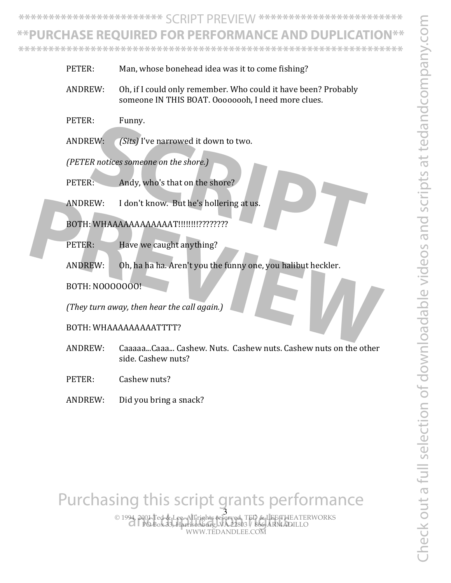Check out a full selection of downloadable videos and scripts at tedandcompany.com Theck out a full selection of downloadable videos and scripts at tedandcompany.co

**\*\*\*\*\*\*\*\*\*\*\*\*\*\*\*\*\*\*\*\*\*\*\*\*** SCRIPT PREVIEW **\*\*\*\*\*\*\*\*\*\*\*\*\*\*\*\*\*\*\*\*\*\*\*\***

## **\*\*PURCHASE REQUIRED FOR PERFORMANCE AND DUPLICATION\*\***

**\*\*\*\*\*\*\*\*\*\*\*\*\*\*\*\*\*\*\*\*\*\*\*\*\*\*\*\*\*\*\*\*\*\*\*\*\*\*\*\*\*\*\*\*\*\*\*\*\*\*\*\*\*\*\*\*\*\*\*\*\*\*\*\***

- PETER: Man, whose bonehead idea was it to come fishing?
- ANDREW: Oh, if I could only remember. Who could it have been? Probably someone IN THIS BOAT. Oooooooh, I need more clues.
- PETER: Funny.
- ANDREW: *(Sits)* I've narrowed it down to two.

*(PETER notices someone on the shore.)* 

- PETER: Andy, who's that on the shore?
- ANDREW: I don't know. But he's hollering at us. **SCRIPT**

BOTH: WHAAAAAAAAAAAAT!!!!!!!!????????

PETER: Have we caught anything?

ANDREW: Oh, ha ha ha. Aren't you the funny one, you halibut heckler. ANDREW: I don't know. But he's hollering at us.<br>
BOTH: WHAAAAAAAAAAAATI!!!!!!!!????????<br>
PETER: Have we caught anything?<br>
ANDREW: Oh, ha ha ha. Aren't you the funny one, you halibut heckler.<br>
BOTH: NO0000000!<br>
(*They turn* 

BOTH: NOOOOOOO!

*(They turn away, then hear the call again.)* 

BOTH: WHAAAAAAAAATTTT?

- ANDREW: Caaaaa...Caaa... Cashew. Nuts. Cashew nuts. Cashew nuts on the other side. Cashew nuts?
- PETER: Cashew nuts?
- $ANDREW:$  Did you bring a snack?

## Purchasing this script grants performance

© 1994, 2001 Ted & Lee. All rights reserved. TED & LEE THEATERWORKS PO Box 33, Harrisonburg, VA 22803 / 866-ARMADILLO WWW.TEDANDLEE.COM 3 and duplication rights.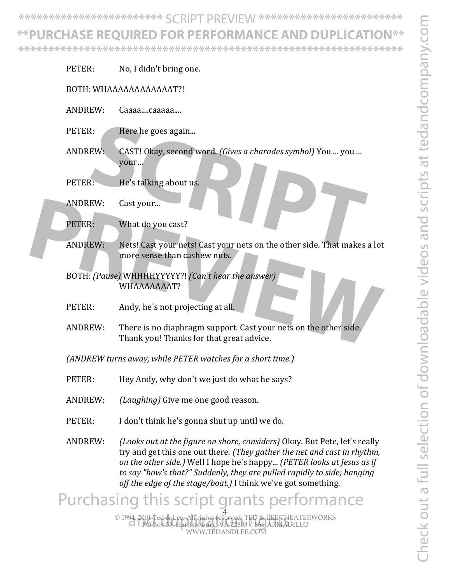Check out a full selection of downloadable videos and scripts at tedandcompany.com Check out a full selection of downloadable videos and scripts at tedandcompany.com

**\*\*\*\*\*\*\*\*\*\*\*\*\*\*\*\*\*\*\*\*\*\*\*\*** SCRIPT PREVIEW **\*\*\*\*\*\*\*\*\*\*\*\*\*\*\*\*\*\*\*\*\*\*\*\***

### **\*\*PURCHASE REQUIRED FOR PERFORMANCE AND DUPLICATION\*\***

**\*\*\*\*\*\*\*\*\*\*\*\*\*\*\*\*\*\*\*\*\*\*\*\*\*\*\*\*\*\*\*\*\*\*\*\*\*\*\*\*\*\*\*\*\*\*\*\*\*\*\*\*\*\*\*\*\*\*\*\*\*\*\*\***

| PETER:         | No, I didn't bring one.                                                                                                                                                                                                                                                                                                                                                      |
|----------------|------------------------------------------------------------------------------------------------------------------------------------------------------------------------------------------------------------------------------------------------------------------------------------------------------------------------------------------------------------------------------|
|                | BOTH: WHAAAAAAAAAAAAT?!                                                                                                                                                                                                                                                                                                                                                      |
| <b>ANDREW:</b> | Caaaacaaaaa                                                                                                                                                                                                                                                                                                                                                                  |
| PETER:         | Here he goes again                                                                                                                                                                                                                                                                                                                                                           |
| <b>ANDREW:</b> | CAST! Okay, second word. (Gives a charades symbol) You  you<br>your                                                                                                                                                                                                                                                                                                          |
| PETER:         | He's talking about us.                                                                                                                                                                                                                                                                                                                                                       |
| <b>ANDREW:</b> | Cast your                                                                                                                                                                                                                                                                                                                                                                    |
| PETER:         | What do you cast?                                                                                                                                                                                                                                                                                                                                                            |
| <b>ANDREW:</b> | Nets! Cast your nets! Cast your nets on the other side. That makes a lot<br>more sense than cashew nuts.                                                                                                                                                                                                                                                                     |
|                | BOTH: (Pause) WHHHHYYYYY?! (Can't hear the answer)<br>WHAAAAAAAT?                                                                                                                                                                                                                                                                                                            |
| PETER:         | Andy, he's not projecting at all.                                                                                                                                                                                                                                                                                                                                            |
| <b>ANDREW:</b> | There is no diaphragm support. Cast your nets on the other side.<br>Thank you! Thanks for that great advice.                                                                                                                                                                                                                                                                 |
|                | (ANDREW turns away, while PETER watches for a short time.)                                                                                                                                                                                                                                                                                                                   |
| PETER:         | Hey Andy, why don't we just do what he says?                                                                                                                                                                                                                                                                                                                                 |
| <b>ANDREW:</b> | <i>(Laughing)</i> Give me one good reason.                                                                                                                                                                                                                                                                                                                                   |
| PETER:         | I don't think he's gonna shut up until we do.                                                                                                                                                                                                                                                                                                                                |
| <b>ANDREW:</b> | (Looks out at the figure on shore, considers) Okay. But Pete, let's really<br>try and get this one out there. (They gather the net and cast in rhythm,<br>on the other side.) Well I hope he's happy (PETER looks at Jesus as if<br>to say "how's that?" Suddenly, they are pulled rapidly to side; hanging<br>off the edge of the stage/boat.) I think we've got something. |
|                | Purchasing this script grants performance                                                                                                                                                                                                                                                                                                                                    |
|                | © 1994, 2001 Ted & Lee All rights reserved TED & LEE THEATERWORKS<br>CIPOBox 33, Harrisonburg, VA 22803 / 866-ARMADILLO                                                                                                                                                                                                                                                      |

WWW.TEDANDLEE.COM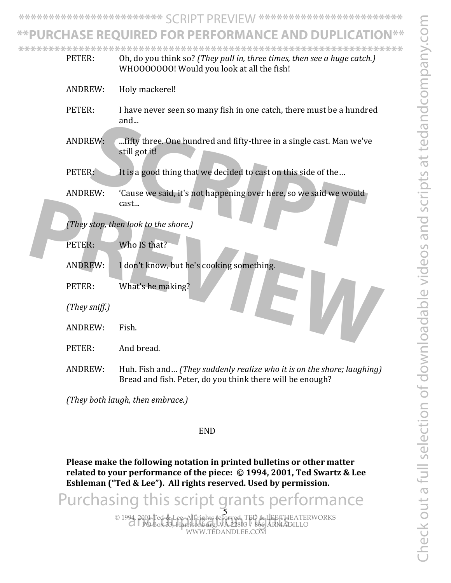**\*\*\*\*\*\*\*\*\*\*\*\*\*\*\*\*\*\*\*\*\*\*\*\*** SCRIPT PREVIEW **\*\*\*\*\*\*\*\*\*\*\*\*\*\*\*\*\*\*\*\*\*\*\*\***

#### **\*\*PURCHASE REQUIRED FOR PERFORMANCE AND DUPLICATION\*\***

PETER: Oh, do you think so? (*They pull in, three times, then see a huge catch.*) **\*\*\*\*\*\*\*\*\*\*\*\*\*\*\*\*\*\*\*\*\*\*\*\*\*\*\*\*\*\*\*\*\*\*\*\*\*\*\*\*\*\*\*\*\*\*\*\*\*\*\*\*\*\*\*\*\*\*\*\*\*\*\*\***

|  | PETER:           | Oh, do you think so? [They pull in, three times, then see a huge catch.]<br>WHOOOOOOO! Would you look at all the fish!              |
|--|------------------|-------------------------------------------------------------------------------------------------------------------------------------|
|  | <b>ANDREW:</b>   | Holy mackerel!                                                                                                                      |
|  | PETER:           | I have never seen so many fish in one catch, there must be a hundred<br>and                                                         |
|  | <b>ANDREW:</b>   | fifty three. One hundred and fifty-three in a single cast. Man we've<br>still got it!                                               |
|  | PETER:           | It is a good thing that we decided to cast on this side of the                                                                      |
|  | <b>ANDREW:</b>   | 'Cause we said, it's not happening over here, so we said we would<br>cast                                                           |
|  |                  | (They stop, then look to the shore.)                                                                                                |
|  | PETER:           | Who IS that?                                                                                                                        |
|  | <b>ANDREW:</b>   | I don't know, but he's cooking something.                                                                                           |
|  | PETER:           | What's he making?                                                                                                                   |
|  | $(They\ sniff.)$ |                                                                                                                                     |
|  | <b>ANDREW:</b>   | Fish.                                                                                                                               |
|  | PETER:           | And bread.                                                                                                                          |
|  | <b>ANDREW:</b>   | Huh. Fish and (They suddenly realize who it is on the shore; laughing)<br>Bread and fish. Peter, do you think there will be enough? |
|  |                  |                                                                                                                                     |

*(They both laugh, then embrace.)* 

#### END

Please make the following notation in printed bulletins or other matter related to your performance of the piece: © 1994, 2001, Ted Swartz & Lee Eshleman ("Ted & Lee"). All rights reserved. Used by permission.

© 1994, 2001 Ted & Lee. All rights reserved. TED & LEE THEATERWORKS PO Box 33, Harrisonburg, VA 22803 / 866-ARMADILLO WWW.TEDANDLEE.COM 5<br>94. 2001 Ted & Lee All rights reserved. TED & LEE THEA<br>21 POB0x 33, Harrisonburg, VA 22803 / 866-ARMADII Purchasing this script grants performance